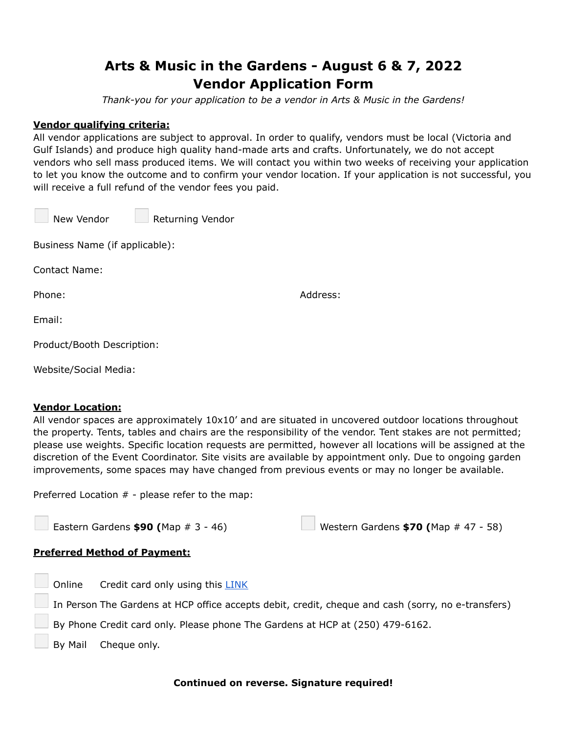# **Arts & Music in the Gardens - August 6 & 7, 2022 Vendor Application Form**

*Thank-you for your application to be a vendor in Arts & Music in the Gardens!*

## **Vendor qualifying criteria:**

All vendor applications are subject to approval. In order to qualify, vendors must be local (Victoria and Gulf Islands) and produce high quality hand-made arts and crafts. Unfortunately, we do not accept vendors who sell mass produced items. We will contact you within two weeks of receiving your application to let you know the outcome and to confirm your vendor location. If your application is not successful, you will receive a full refund of the vendor fees you paid.

| New Vendor | <b>Returning Vendor</b> |  |
|------------|-------------------------|--|
|            |                         |  |

Business Name (if applicable):

Contact Name:

Phone: Address:

Email:

Product/Booth Description:

Website/Social Media:

#### **Vendor Location:**

All vendor spaces are approximately 10x10' and are situated in uncovered outdoor locations throughout the property. Tents, tables and chairs are the responsibility of the vendor. Tent stakes are not permitted; please use weights. Specific location requests are permitted, however all locations will be assigned at the discretion of the Event Coordinator. Site visits are available by appointment only. Due to ongoing garden improvements, some spaces may have changed from previous events or may no longer be available.

Preferred Location # - please refer to the map:

| Eastern Gardens $$90$ (Map # 3 - 46) | <b>Western Gardens \$70 (Map # 47 - 58)</b> |
|--------------------------------------|---------------------------------------------|
|--------------------------------------|---------------------------------------------|

## **Preferred Method of Payment:**

|                                                                               | $\Box$ Online Credit card only using this $\Box$ NK                                                |  |
|-------------------------------------------------------------------------------|----------------------------------------------------------------------------------------------------|--|
|                                                                               | In Person The Gardens at HCP office accepts debit, credit, cheque and cash (sorry, no e-transfers) |  |
| By Phone Credit card only. Please phone The Gardens at HCP at (250) 479-6162. |                                                                                                    |  |
|                                                                               | $\Box$ By Mail Cheque only.                                                                        |  |

#### **Continued on reverse. Signature required!**